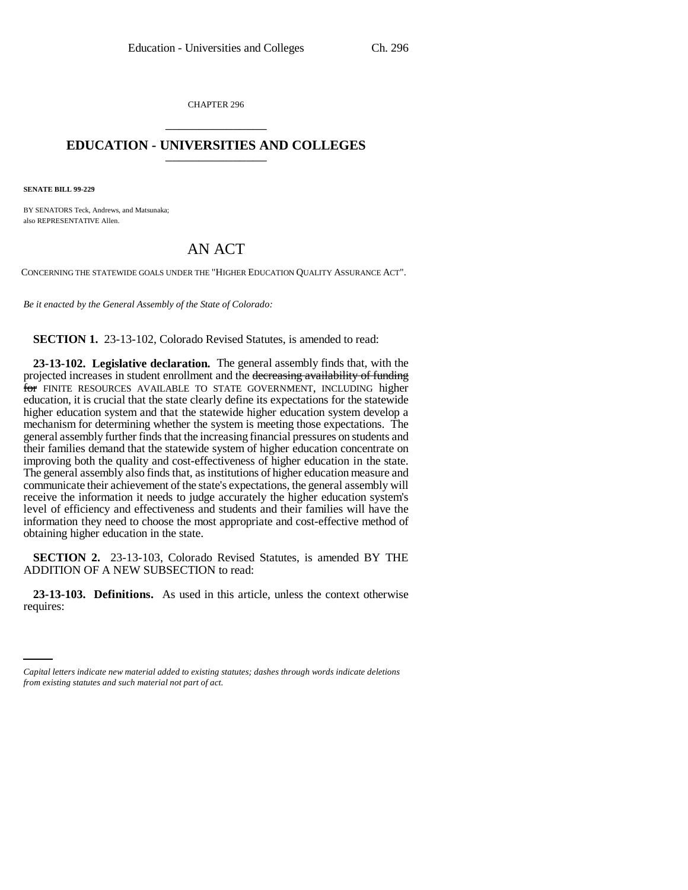CHAPTER 296 \_\_\_\_\_\_\_\_\_\_\_\_\_\_\_

## **EDUCATION - UNIVERSITIES AND COLLEGES** \_\_\_\_\_\_\_\_\_\_\_\_\_\_\_

**SENATE BILL 99-229**

BY SENATORS Teck, Andrews, and Matsunaka; also REPRESENTATIVE Allen.

# AN ACT

CONCERNING THE STATEWIDE GOALS UNDER THE "HIGHER EDUCATION QUALITY ASSURANCE ACT".

*Be it enacted by the General Assembly of the State of Colorado:*

**SECTION 1.** 23-13-102, Colorado Revised Statutes, is amended to read:

**23-13-102. Legislative declaration.** The general assembly finds that, with the projected increases in student enrollment and the decreasing availability of funding for FINITE RESOURCES AVAILABLE TO STATE GOVERNMENT, INCLUDING higher education, it is crucial that the state clearly define its expectations for the statewide higher education system and that the statewide higher education system develop a mechanism for determining whether the system is meeting those expectations. The general assembly further finds that the increasing financial pressures on students and their families demand that the statewide system of higher education concentrate on improving both the quality and cost-effectiveness of higher education in the state. The general assembly also finds that, as institutions of higher education measure and communicate their achievement of the state's expectations, the general assembly will receive the information it needs to judge accurately the higher education system's level of efficiency and effectiveness and students and their families will have the information they need to choose the most appropriate and cost-effective method of obtaining higher education in the state.

**SECTION 2.** 23-13-103, Colorado Revised Statutes, is amended BY THE ADDITION OF A NEW SUBSECTION to read:

-**23-13-**<br>:requires **23-13-103. Definitions.** As used in this article, unless the context otherwise

*Capital letters indicate new material added to existing statutes; dashes through words indicate deletions from existing statutes and such material not part of act.*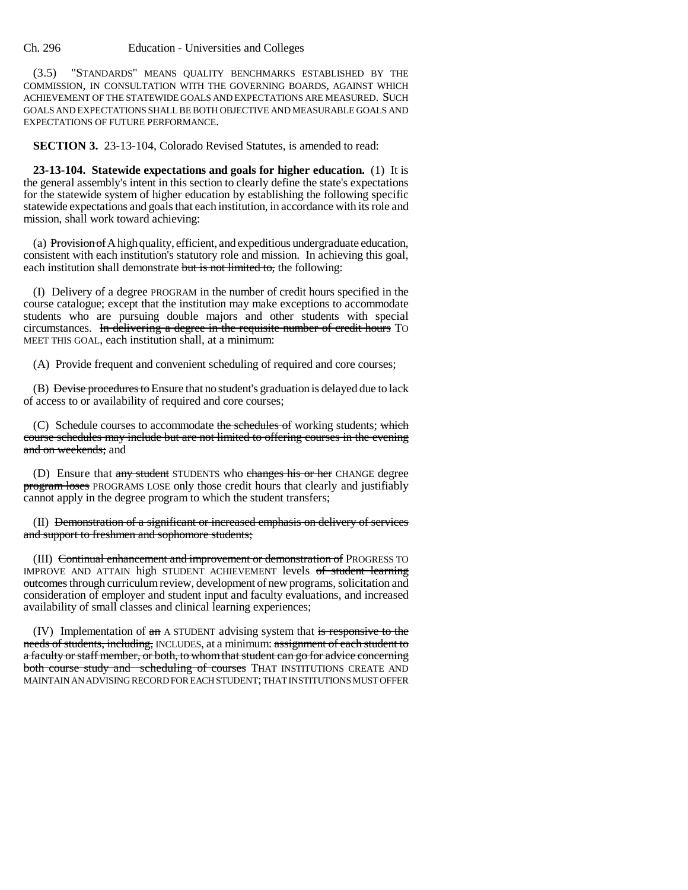Ch. 296 Education - Universities and Colleges

(3.5) "STANDARDS" MEANS QUALITY BENCHMARKS ESTABLISHED BY THE COMMISSION, IN CONSULTATION WITH THE GOVERNING BOARDS, AGAINST WHICH ACHIEVEMENT OF THE STATEWIDE GOALS AND EXPECTATIONS ARE MEASURED. SUCH GOALS AND EXPECTATIONS SHALL BE BOTH OBJECTIVE AND MEASURABLE GOALS AND EXPECTATIONS OF FUTURE PERFORMANCE.

**SECTION 3.** 23-13-104, Colorado Revised Statutes, is amended to read:

**23-13-104. Statewide expectations and goals for higher education.** (1) It is the general assembly's intent in this section to clearly define the state's expectations for the statewide system of higher education by establishing the following specific statewide expectations and goals that each institution, in accordance with its role and mission, shall work toward achieving:

(a) Provision of A high quality, efficient, and expeditious undergraduate education, consistent with each institution's statutory role and mission. In achieving this goal, each institution shall demonstrate but is not limited to, the following:

(I) Delivery of a degree PROGRAM in the number of credit hours specified in the course catalogue; except that the institution may make exceptions to accommodate students who are pursuing double majors and other students with special circumstances. In delivering a degree in the requisite number of credit hours TO MEET THIS GOAL, each institution shall, at a minimum:

(A) Provide frequent and convenient scheduling of required and core courses;

(B) Devise procedures to Ensure that no student's graduation is delayed due to lack of access to or availability of required and core courses;

(C) Schedule courses to accommodate the schedules of working students; which course schedules may include but are not limited to offering courses in the evening and on weekends; and

(D) Ensure that any student STUDENTS who changes his or her CHANGE degree program loses PROGRAMS LOSE only those credit hours that clearly and justifiably cannot apply in the degree program to which the student transfers;

(II) Demonstration of a significant or increased emphasis on delivery of services and support to freshmen and sophomore students;

(III) Continual enhancement and improvement or demonstration of PROGRESS TO IMPROVE AND ATTAIN high STUDENT ACHIEVEMENT levels of student learning outcomes through curriculum review, development of new programs, solicitation and consideration of employer and student input and faculty evaluations, and increased availability of small classes and clinical learning experiences;

 $(IV)$  Implementation of  $\pi$  A STUDENT advising system that is responsive to the needs of students, including, INCLUDES, at a minimum: assignment of each student to a faculty or staff member, or both, to whom that student can go for advice concerning both course study and scheduling of courses THAT INSTITUTIONS CREATE AND MAINTAIN AN ADVISING RECORD FOR EACH STUDENT; THAT INSTITUTIONS MUST OFFER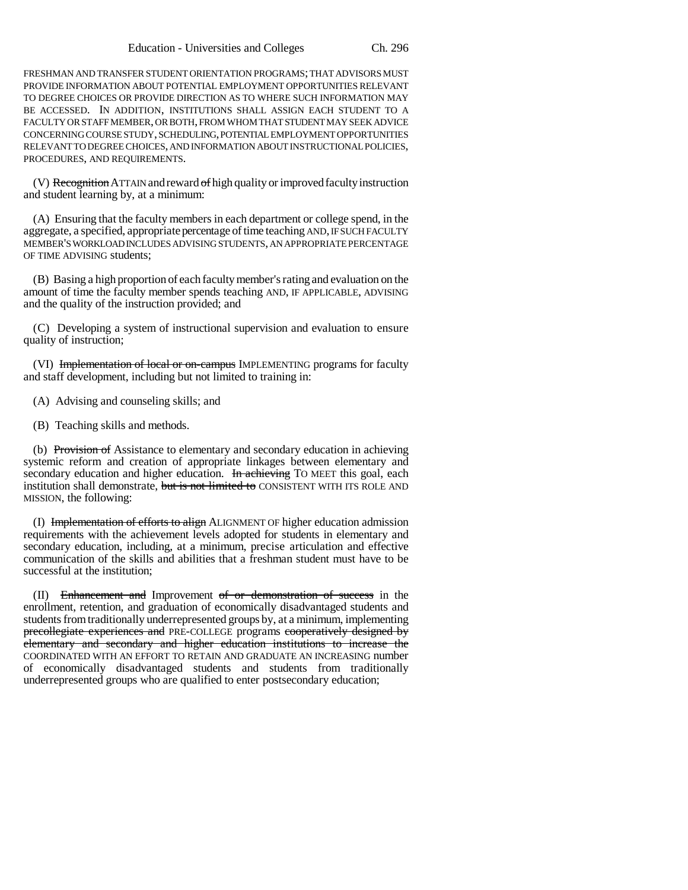FRESHMAN AND TRANSFER STUDENT ORIENTATION PROGRAMS; THAT ADVISORS MUST PROVIDE INFORMATION ABOUT POTENTIAL EMPLOYMENT OPPORTUNITIES RELEVANT TO DEGREE CHOICES OR PROVIDE DIRECTION AS TO WHERE SUCH INFORMATION MAY BE ACCESSED. IN ADDITION, INSTITUTIONS SHALL ASSIGN EACH STUDENT TO A FACULTY OR STAFF MEMBER, OR BOTH, FROM WHOM THAT STUDENT MAY SEEK ADVICE CONCERNING COURSE STUDY, SCHEDULING, POTENTIAL EMPLOYMENT OPPORTUNITIES RELEVANT TO DEGREE CHOICES, AND INFORMATION ABOUT INSTRUCTIONAL POLICIES, PROCEDURES, AND REQUIREMENTS.

(V) Recognition ATTAIN and reward of high quality or improved faculty instruction and student learning by, at a minimum:

(A) Ensuring that the faculty members in each department or college spend, in the aggregate, a specified, appropriate percentage of time teaching AND, IF SUCH FACULTY MEMBER'S WORKLOAD INCLUDES ADVISING STUDENTS, AN APPROPRIATE PERCENTAGE OF TIME ADVISING students;

(B) Basing a high proportion of each faculty member's rating and evaluation on the amount of time the faculty member spends teaching AND, IF APPLICABLE, ADVISING and the quality of the instruction provided; and

(C) Developing a system of instructional supervision and evaluation to ensure quality of instruction;

(VI) Implementation of local or on-campus IMPLEMENTING programs for faculty and staff development, including but not limited to training in:

(A) Advising and counseling skills; and

(B) Teaching skills and methods.

(b) Provision of Assistance to elementary and secondary education in achieving systemic reform and creation of appropriate linkages between elementary and secondary education and higher education. In achieving TO MEET this goal, each institution shall demonstrate, but is not limited to CONSISTENT WITH ITS ROLE AND MISSION, the following:

(I) Implementation of efforts to align ALIGNMENT OF higher education admission requirements with the achievement levels adopted for students in elementary and secondary education, including, at a minimum, precise articulation and effective communication of the skills and abilities that a freshman student must have to be successful at the institution;

(II) Enhancement and Improvement of or demonstration of success in the enrollment, retention, and graduation of economically disadvantaged students and students from traditionally underrepresented groups by, at a minimum, implementing precollegiate experiences and PRE-COLLEGE programs cooperatively designed by elementary and secondary and higher education institutions to increase the COORDINATED WITH AN EFFORT TO RETAIN AND GRADUATE AN INCREASING number of economically disadvantaged students and students from traditionally underrepresented groups who are qualified to enter postsecondary education;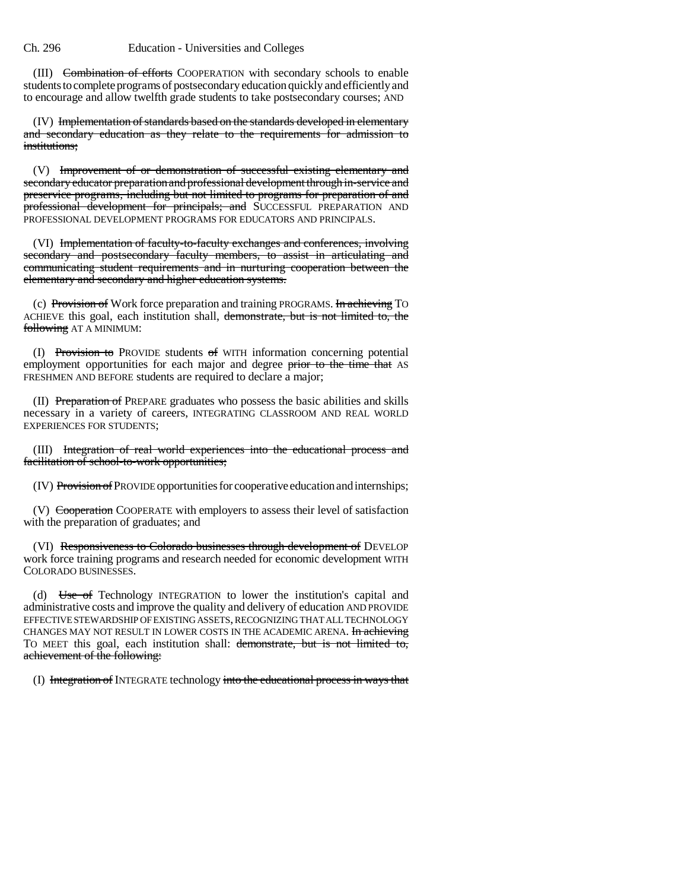### Ch. 296 Education - Universities and Colleges

(III) Combination of efforts COOPERATION with secondary schools to enable students to complete programs of postsecondary education quickly and efficiently and to encourage and allow twelfth grade students to take postsecondary courses; AND

(IV) Implementation of standards based on the standards developed in elementary and secondary education as they relate to the requirements for admission to institutions:

(V) Improvement of or demonstration of successful existing elementary and secondary educator preparation and professional development through in-service and preservice programs, including but not limited to programs for preparation of and professional development for principals; and SUCCESSFUL PREPARATION AND PROFESSIONAL DEVELOPMENT PROGRAMS FOR EDUCATORS AND PRINCIPALS.

(VI) Implementation of faculty-to-faculty exchanges and conferences, involving secondary and postsecondary faculty members, to assist in articulating and communicating student requirements and in nurturing cooperation between the elementary and secondary and higher education systems.

(c) Provision of Work force preparation and training PROGRAMS. In achieving To ACHIEVE this goal, each institution shall, demonstrate, but is not limited to, the following AT A MINIMUM:

(I) Provision to PROVIDE students of WITH information concerning potential employment opportunities for each major and degree prior to the time that AS FRESHMEN AND BEFORE students are required to declare a major;

(II) Preparation of PREPARE graduates who possess the basic abilities and skills necessary in a variety of careers, INTEGRATING CLASSROOM AND REAL WORLD EXPERIENCES FOR STUDENTS;

(III) Integration of real world experiences into the educational process and facilitation of school-to-work opportunities;

(IV) Provision of PROVIDE opportunities for cooperative education and internships;

(V) Cooperation COOPERATE with employers to assess their level of satisfaction with the preparation of graduates; and

(VI) Responsiveness to Colorado businesses through development of DEVELOP work force training programs and research needed for economic development WITH COLORADO BUSINESSES.

(d) Use of Technology INTEGRATION to lower the institution's capital and administrative costs and improve the quality and delivery of education AND PROVIDE EFFECTIVE STEWARDSHIP OF EXISTING ASSETS, RECOGNIZING THAT ALL TECHNOLOGY CHANGES MAY NOT RESULT IN LOWER COSTS IN THE ACADEMIC ARENA. In achieving TO MEET this goal, each institution shall: demonstrate, but is not limited to, achievement of the following:

(I) Integration of INTEGRATE technology into the educational process in ways that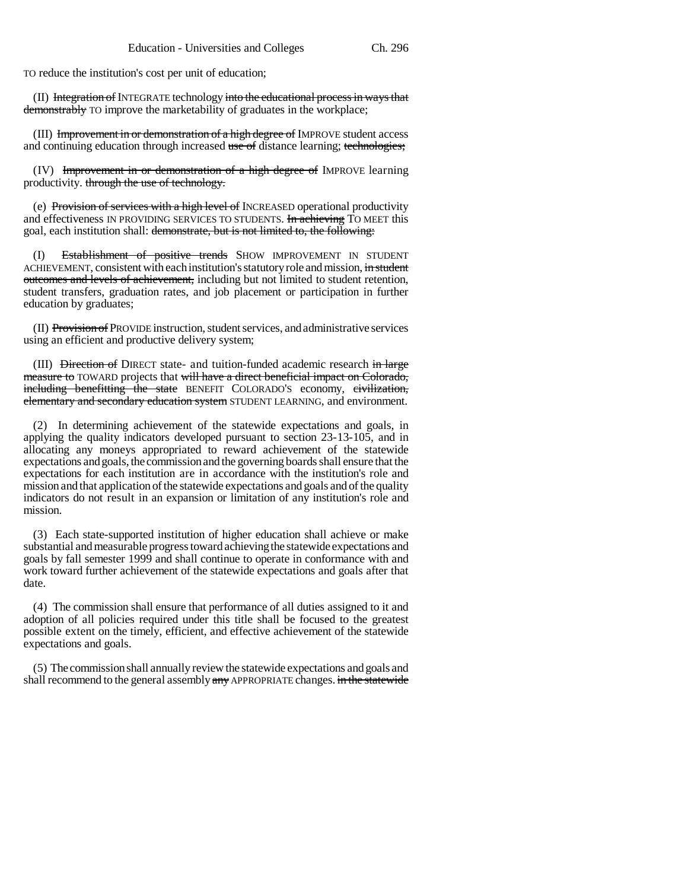TO reduce the institution's cost per unit of education;

(II) Integration of INTEGRATE technology into the educational process in ways that demonstrably TO improve the marketability of graduates in the workplace;

(III) Improvement in or demonstration of a high degree of IMPROVE student access and continuing education through increased use of distance learning; technologies;

(IV) Improvement in or demonstration of a high degree of IMPROVE learning productivity. through the use of technology.

(e) Provision of services with a high level of INCREASED operational productivity and effectiveness IN PROVIDING SERVICES TO STUDENTS. In achieving TO MEET this goal, each institution shall: demonstrate, but is not limited to, the following:

(I) Establishment of positive trends SHOW IMPROVEMENT IN STUDENT ACHIEVEMENT, consistent with each institution's statutory role and mission, in student outcomes and levels of achievement, including but not limited to student retention, student transfers, graduation rates, and job placement or participation in further education by graduates;

(II) Provision of PROVIDE instruction, student services, and administrative services using an efficient and productive delivery system;

(III) <del>Direction of</del> DIRECT state- and tuition-funded academic research in large measure to TOWARD projects that will have a direct beneficial impact on Colorado, including benefitting the state BENEFIT COLORADO'S economy, civilization, elementary and secondary education system STUDENT LEARNING, and environment.

(2) In determining achievement of the statewide expectations and goals, in applying the quality indicators developed pursuant to section 23-13-105, and in allocating any moneys appropriated to reward achievement of the statewide expectations and goals, the commission and the governing boards shall ensure that the expectations for each institution are in accordance with the institution's role and mission and that application of the statewide expectations and goals and of the quality indicators do not result in an expansion or limitation of any institution's role and mission.

(3) Each state-supported institution of higher education shall achieve or make substantial and measurable progress toward achieving the statewide expectations and goals by fall semester 1999 and shall continue to operate in conformance with and work toward further achievement of the statewide expectations and goals after that date.

(4) The commission shall ensure that performance of all duties assigned to it and adoption of all policies required under this title shall be focused to the greatest possible extent on the timely, efficient, and effective achievement of the statewide expectations and goals.

(5) The commission shall annually review the statewide expectations and goals and shall recommend to the general assembly any APPROPRIATE changes. in the statewide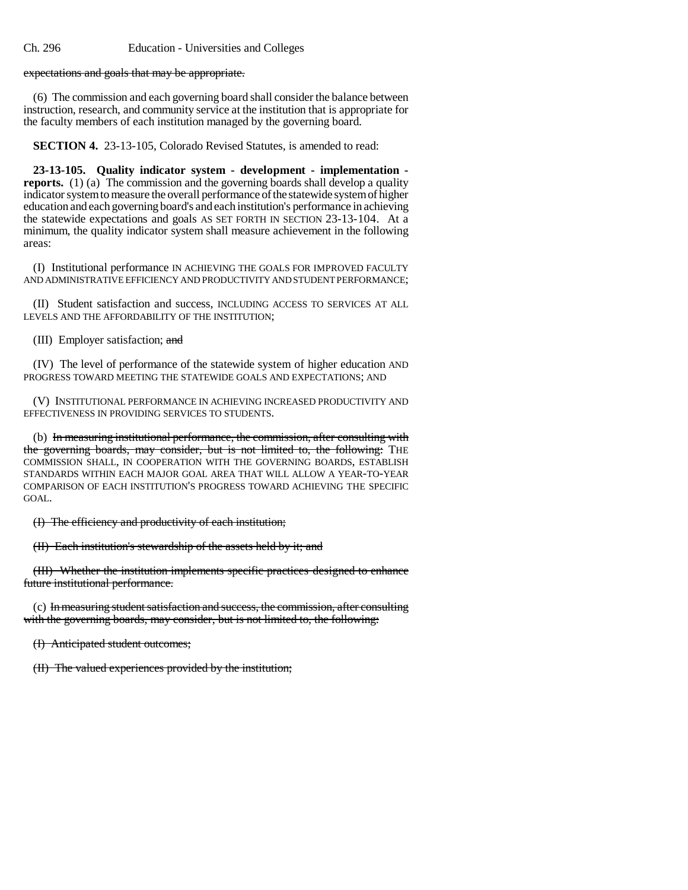expectations and goals that may be appropriate.

(6) The commission and each governing board shall consider the balance between instruction, research, and community service at the institution that is appropriate for the faculty members of each institution managed by the governing board.

**SECTION 4.** 23-13-105, Colorado Revised Statutes, is amended to read:

**23-13-105. Quality indicator system - development - implementation reports.** (1) (a) The commission and the governing boards shall develop a quality indicator system to measure the overall performance of the statewide system of higher education and each governing board's and each institution's performance in achieving the statewide expectations and goals AS SET FORTH IN SECTION 23-13-104. At a minimum, the quality indicator system shall measure achievement in the following areas:

(I) Institutional performance IN ACHIEVING THE GOALS FOR IMPROVED FACULTY AND ADMINISTRATIVE EFFICIENCY AND PRODUCTIVITY AND STUDENT PERFORMANCE;

(II) Student satisfaction and success, INCLUDING ACCESS TO SERVICES AT ALL LEVELS AND THE AFFORDABILITY OF THE INSTITUTION;

(III) Employer satisfaction; and

(IV) The level of performance of the statewide system of higher education AND PROGRESS TOWARD MEETING THE STATEWIDE GOALS AND EXPECTATIONS; AND

(V) INSTITUTIONAL PERFORMANCE IN ACHIEVING INCREASED PRODUCTIVITY AND EFFECTIVENESS IN PROVIDING SERVICES TO STUDENTS.

(b) In measuring institutional performance, the commission, after consulting with the governing boards, may consider, but is not limited to, the following: THE COMMISSION SHALL, IN COOPERATION WITH THE GOVERNING BOARDS, ESTABLISH STANDARDS WITHIN EACH MAJOR GOAL AREA THAT WILL ALLOW A YEAR-TO-YEAR COMPARISON OF EACH INSTITUTION'S PROGRESS TOWARD ACHIEVING THE SPECIFIC GOAL.

(I) The efficiency and productivity of each institution;

(II) Each institution's stewardship of the assets held by it; and

(III) Whether the institution implements specific practices designed to enhance future institutional performance.

(c) In measuring student satisfaction and success, the commission, after consulting with the governing boards, may consider, but is not limited to, the following:

(I) Anticipated student outcomes;

(II) The valued experiences provided by the institution;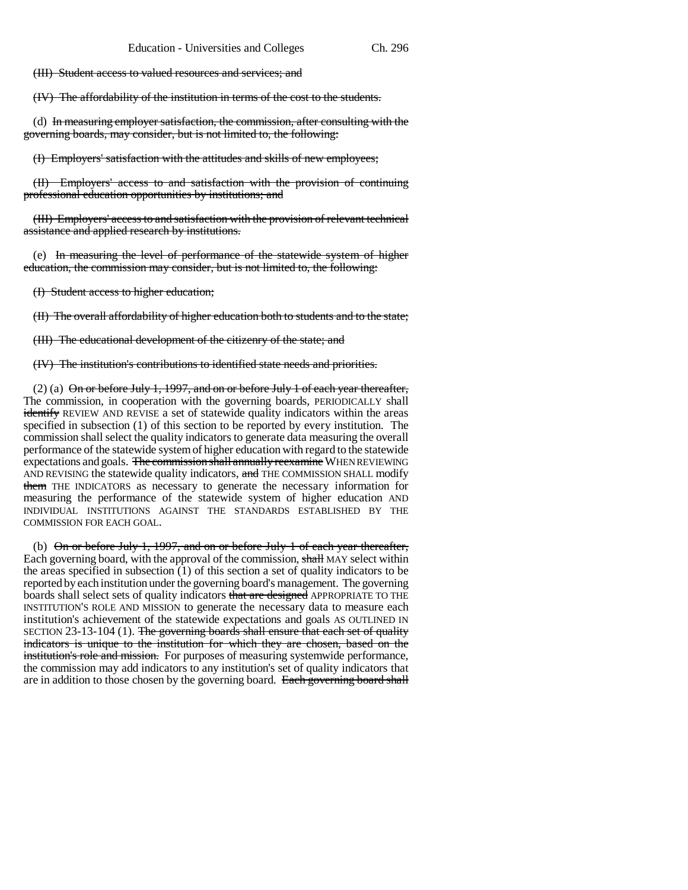(III) Student access to valued resources and services; and

(IV) The affordability of the institution in terms of the cost to the students.

(d) In measuring employer satisfaction, the commission, after consulting with the governing boards, may consider, but is not limited to, the following:

(I) Employers' satisfaction with the attitudes and skills of new employees;

(II) Employers' access to and satisfaction with the provision of continuing professional education opportunities by institutions; and

(III) Employers' access to and satisfaction with the provision of relevant technical assistance and applied research by institutions.

(e) In measuring the level of performance of the statewide system of higher education, the commission may consider, but is not limited to, the following:

(I) Student access to higher education;

(II) The overall affordability of higher education both to students and to the state;

(III) The educational development of the citizenry of the state; and

(IV) The institution's contributions to identified state needs and priorities.

(2) (a)  $\Theta$ n or before July 1, 1997, and on or before July 1 of each year thereafter, The commission, in cooperation with the governing boards, PERIODICALLY shall identify REVIEW AND REVISE a set of statewide quality indicators within the areas specified in subsection (1) of this section to be reported by every institution. The commission shall select the quality indicators to generate data measuring the overall performance of the statewide system of higher education with regard to the statewide expectations and goals. The commission shall annually reexamine WHEN REVIEWING AND REVISING the statewide quality indicators, and THE COMMISSION SHALL modify them THE INDICATORS as necessary to generate the necessary information for measuring the performance of the statewide system of higher education AND INDIVIDUAL INSTITUTIONS AGAINST THE STANDARDS ESTABLISHED BY THE COMMISSION FOR EACH GOAL.

(b) On or before July 1, 1997, and on or before July 1 of each year thereafter, Each governing board, with the approval of the commission, shall MAY select within the areas specified in subsection  $(1)$  of this section a set of quality indicators to be reported by each institution under the governing board's management. The governing boards shall select sets of quality indicators that are designed APPROPRIATE TO THE INSTITUTION'S ROLE AND MISSION to generate the necessary data to measure each institution's achievement of the statewide expectations and goals AS OUTLINED IN SECTION 23-13-104 (1). The governing boards shall ensure that each set of quality indicators is unique to the institution for which they are chosen, based on the institution's role and mission. For purposes of measuring systemwide performance, the commission may add indicators to any institution's set of quality indicators that are in addition to those chosen by the governing board. Each governing board shall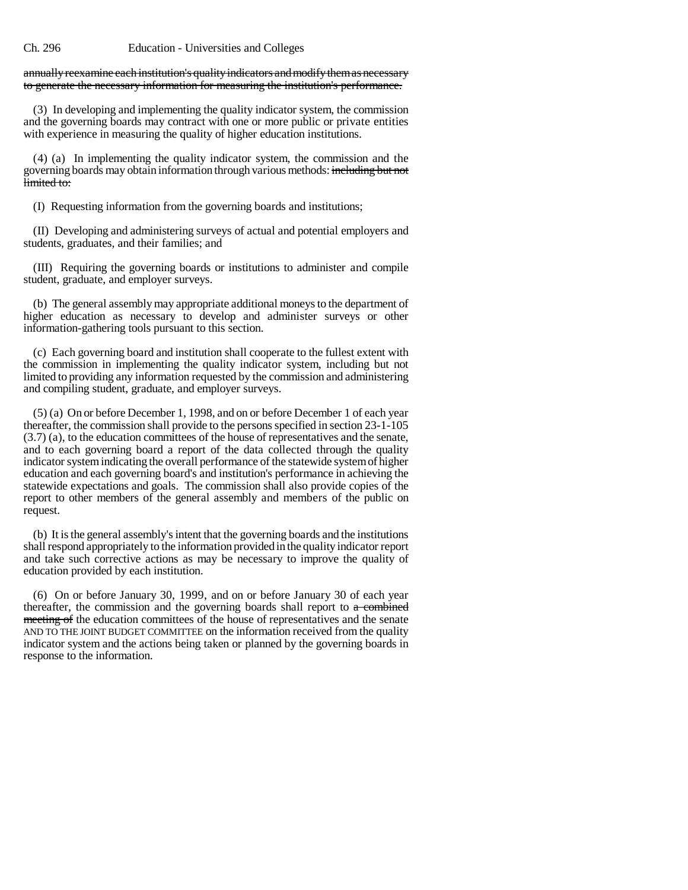#### Ch. 296 Education - Universities and Colleges

### annually reexamine each institution's quality indicators and modify them as necessary to generate the necessary information for measuring the institution's performance.

(3) In developing and implementing the quality indicator system, the commission and the governing boards may contract with one or more public or private entities with experience in measuring the quality of higher education institutions.

(4) (a) In implementing the quality indicator system, the commission and the governing boards may obtain information through various methods: including but not limited to:

(I) Requesting information from the governing boards and institutions;

(II) Developing and administering surveys of actual and potential employers and students, graduates, and their families; and

(III) Requiring the governing boards or institutions to administer and compile student, graduate, and employer surveys.

(b) The general assembly may appropriate additional moneys to the department of higher education as necessary to develop and administer surveys or other information-gathering tools pursuant to this section.

(c) Each governing board and institution shall cooperate to the fullest extent with the commission in implementing the quality indicator system, including but not limited to providing any information requested by the commission and administering and compiling student, graduate, and employer surveys.

(5) (a) On or before December 1, 1998, and on or before December 1 of each year thereafter, the commission shall provide to the persons specified in section 23-1-105 (3.7) (a), to the education committees of the house of representatives and the senate, and to each governing board a report of the data collected through the quality indicator system indicating the overall performance of the statewide system of higher education and each governing board's and institution's performance in achieving the statewide expectations and goals. The commission shall also provide copies of the report to other members of the general assembly and members of the public on request.

(b) It is the general assembly's intent that the governing boards and the institutions shall respond appropriately to the information provided in the quality indicator report and take such corrective actions as may be necessary to improve the quality of education provided by each institution.

(6) On or before January 30, 1999, and on or before January 30 of each year thereafter, the commission and the governing boards shall report to  $\alpha$  combined meeting of the education committees of the house of representatives and the senate AND TO THE JOINT BUDGET COMMITTEE on the information received from the quality indicator system and the actions being taken or planned by the governing boards in response to the information.